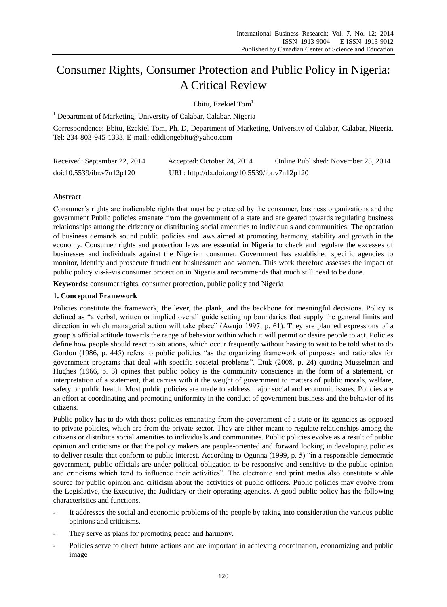# Consumer Rights, Consumer Protection and Public Policy in Nigeria: A Critical Review

Ebitu, Ezekiel  $Tom<sup>1</sup>$ 

 $<sup>1</sup>$  Department of Marketing, University of Calabar, Calabar, Nigeria</sup>

Correspondence: Ebitu, Ezekiel Tom, Ph. D, Department of Marketing, University of Calabar, Calabar, Nigeria. Tel: 234-803-945-1333. E-mail: edidiongebitu@yahoo.com

| Received: September 22, 2014 | Accepted: October 24, 2014                   | Online Published: November 25, 2014 |
|------------------------------|----------------------------------------------|-------------------------------------|
| doi:10.5539/ibr.v7n12p120    | URL: http://dx.doi.org/10.5539/ibr.v7n12p120 |                                     |

# **Abstract**

Consumer"s rights are inalienable rights that must be protected by the consumer, business organizations and the government Public policies emanate from the government of a state and are geared towards regulating business relationships among the citizenry or distributing social amenities to individuals and communities. The operation of business demands sound public policies and laws aimed at promoting harmony, stability and growth in the economy. Consumer rights and protection laws are essential in Nigeria to check and regulate the excesses of businesses and individuals against the Nigerian consumer. Government has established specific agencies to monitor, identify and prosecute fraudulent businessmen and women. This work therefore assesses the impact of public policy vis-à-vis consumer protection in Nigeria and recommends that much still need to be done.

**Keywords:** consumer rights, consumer protection, public policy and Nigeria

# **1. Conceptual Framework**

Policies constitute the framework, the lever, the plank, and the backbone for meaningful decisions. Policy is defined as "a verbal, written or implied overall guide setting up boundaries that supply the general limits and direction in which managerial action will take place" (Awujo 1997, p. 61). They are planned expressions of a group"s official attitude towards the range of behavior within which it will permit or desire people to act. Policies define how people should react to situations, which occur frequently without having to wait to be told what to do. Gordon (1986, p. 445) refers to public policies "as the organizing framework of purposes and rationales for government programs that deal with specific societal problems". Etuk (2008, p. 24) quoting Musselman and Hughes (1966, p. 3) opines that public policy is the community conscience in the form of a statement, or interpretation of a statement, that carries with it the weight of government to matters of public morals, welfare, safety or public health. Most public policies are made to address major social and economic issues. Policies are an effort at coordinating and promoting uniformity in the conduct of government business and the behavior of its citizens.

Public policy has to do with those policies emanating from the government of a state or its agencies as opposed to private policies, which are from the private sector. They are either meant to regulate relationships among the citizens or distribute social amenities to individuals and communities. Public policies evolve as a result of public opinion and criticisms or that the policy makers are people-oriented and forward looking in developing policies to deliver results that conform to public interest. According to Ogunna (1999, p. 5) "in a responsible democratic government, public officials are under political obligation to be responsive and sensitive to the public opinion and criticisms which tend to influence their activities". The electronic and print media also constitute viable source for public opinion and criticism about the activities of public officers. Public policies may evolve from the Legislative, the Executive, the Judiciary or their operating agencies. A good public policy has the following characteristics and functions.

- It addresses the social and economic problems of the people by taking into consideration the various public opinions and criticisms.
- They serve as plans for promoting peace and harmony.
- Policies serve to direct future actions and are important in achieving coordination, economizing and public image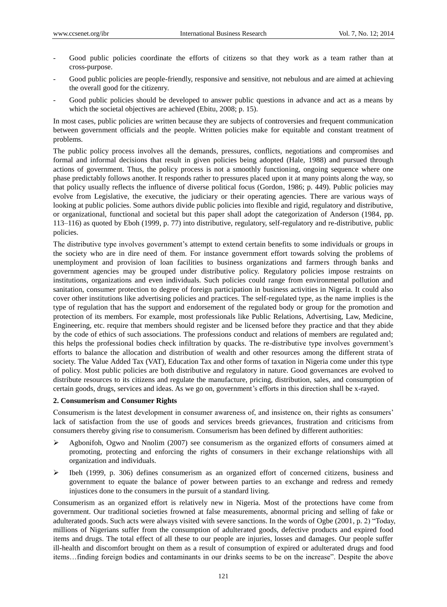- Good public policies coordinate the efforts of citizens so that they work as a team rather than at cross-purpose.
- Good public policies are people-friendly, responsive and sensitive, not nebulous and are aimed at achieving the overall good for the citizenry.
- Good public policies should be developed to answer public questions in advance and act as a means by which the societal objectives are achieved (Ebitu, 2008; p. 15).

In most cases, public policies are written because they are subjects of controversies and frequent communication between government officials and the people. Written policies make for equitable and constant treatment of problems.

The public policy process involves all the demands, pressures, conflicts, negotiations and compromises and formal and informal decisions that result in given policies being adopted (Hale, 1988) and pursued through actions of government. Thus, the policy process is not a smoothly functioning, ongoing sequence where one phase predictably follows another. It responds rather to pressures placed upon it at many points along the way, so that policy usually reflects the influence of diverse political focus (Gordon, 1986; p. 449). Public policies may evolve from Legislative, the executive, the judiciary or their operating agencies. There are various ways of looking at public policies. Some authors divide public policies into flexible and rigid, regulatory and distributive, or organizational, functional and societal but this paper shall adopt the categorization of Anderson (1984, pp. 113–116) as quoted by Eboh (1999, p. 77) into distributive, regulatory, self-regulatory and re-distributive, public policies.

The distributive type involves government's attempt to extend certain benefits to some individuals or groups in the society who are in dire need of them. For instance government effort towards solving the problems of unemployment and provision of loan facilities to business organizations and farmers through banks and government agencies may be grouped under distributive policy. Regulatory policies impose restraints on institutions, organizations and even individuals. Such policies could range from environmental pollution and sanitation, consumer protection to degree of foreign participation in business activities in Nigeria. It could also cover other institutions like advertising policies and practices. The self-regulated type, as the name implies is the type of regulation that has the support and endorsement of the regulated body or group for the promotion and protection of its members. For example, most professionals like Public Relations, Advertising, Law, Medicine, Engineering, etc. require that members should register and be licensed before they practice and that they abide by the code of ethics of such associations. The professions conduct and relations of members are regulated and; this helps the professional bodies check infiltration by quacks. The re-distributive type involves government"s efforts to balance the allocation and distribution of wealth and other resources among the different strata of society. The Value Added Tax (VAT), Education Tax and other forms of taxation in Nigeria come under this type of policy. Most public policies are both distributive and regulatory in nature. Good governances are evolved to distribute resources to its citizens and regulate the manufacture, pricing, distribution, sales, and consumption of certain goods, drugs, services and ideas. As we go on, government's efforts in this direction shall be x-rayed.

## **2. Consumerism and Consumer Rights**

Consumerism is the latest development in consumer awareness of, and insistence on, their rights as consumers" lack of satisfaction from the use of goods and services breeds grievances, frustration and criticisms from consumers thereby giving rise to consumerism. Consumerism has been defined by different authorities:

- $\triangleright$  Agbonifoh, Ogwo and Nnolim (2007) see consumerism as the organized efforts of consumers aimed at promoting, protecting and enforcing the rights of consumers in their exchange relationships with all organization and individuals.
- $\triangleright$  Ibeh (1999, p. 306) defines consumerism as an organized effort of concerned citizens, business and government to equate the balance of power between parties to an exchange and redress and remedy injustices done to the consumers in the pursuit of a standard living.

Consumerism as an organized effort is relatively new in Nigeria. Most of the protections have come from government. Our traditional societies frowned at false measurements, abnormal pricing and selling of fake or adulterated goods. Such acts were always visited with severe sanctions. In the words of Ogbe (2001, p. 2) "Today, millions of Nigerians suffer from the consumption of adulterated goods, defective products and expired food items and drugs. The total effect of all these to our people are injuries, losses and damages. Our people suffer ill-health and discomfort brought on them as a result of consumption of expired or adulterated drugs and food items…finding foreign bodies and contaminants in our drinks seems to be on the increase". Despite the above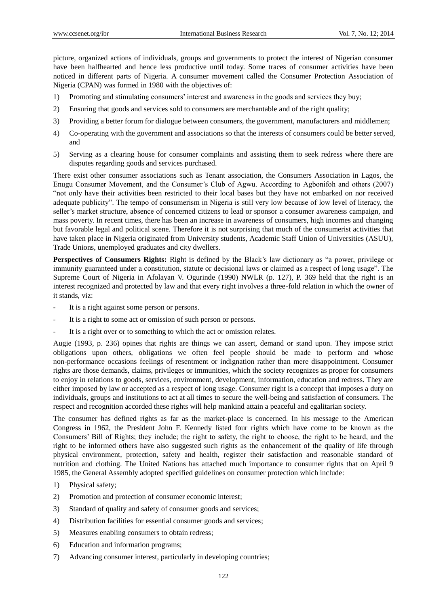picture, organized actions of individuals, groups and governments to protect the interest of Nigerian consumer have been halfhearted and hence less productive until today. Some traces of consumer activities have been noticed in different parts of Nigeria. A consumer movement called the Consumer Protection Association of Nigeria (CPAN) was formed in 1980 with the objectives of:

- 1) Promoting and stimulating consumers" interest and awareness in the goods and services they buy;
- 2) Ensuring that goods and services sold to consumers are merchantable and of the right quality;
- 3) Providing a better forum for dialogue between consumers, the government, manufacturers and middlemen;
- 4) Co-operating with the government and associations so that the interests of consumers could be better served, and
- 5) Serving as a clearing house for consumer complaints and assisting them to seek redress where there are disputes regarding goods and services purchased.

There exist other consumer associations such as Tenant association, the Consumers Association in Lagos, the Enugu Consumer Movement, and the Consumer"s Club of Agwu. According to Agbonifoh and others (2007) "not only have their activities been restricted to their local bases but they have not embarked on nor received adequate publicity". The tempo of consumerism in Nigeria is still very low because of low level of literacy, the seller's market structure, absence of concerned citizens to lead or sponsor a consumer awareness campaign, and mass poverty. In recent times, there has been an increase in awareness of consumers, high incomes and changing but favorable legal and political scene. Therefore it is not surprising that much of the consumerist activities that have taken place in Nigeria originated from University students, Academic Staff Union of Universities (ASUU), Trade Unions, unemployed graduates and city dwellers.

**Perspectives of Consumers Rights:** Right is defined by the Black"s law dictionary as "a power, privilege or immunity guaranteed under a constitution, statute or decisional laws or claimed as a respect of long usage". The Supreme Court of Nigeria in Afolayan V. Ogurinde (1990) NWLR (p. 127), P. 369 held that the right is an interest recognized and protected by law and that every right involves a three-fold relation in which the owner of it stands, viz:

- It is a right against some person or persons.
- It is a right to some act or omission of such person or persons.
- It is a right over or to something to which the act or omission relates.

Augie (1993, p. 236) opines that rights are things we can assert, demand or stand upon. They impose strict obligations upon others, obligations we often feel people should be made to perform and whose non-performance occasions feelings of resentment or indignation rather than mere disappointment. Consumer rights are those demands, claims, privileges or immunities, which the society recognizes as proper for consumers to enjoy in relations to goods, services, environment, development, information, education and redress. They are either imposed by law or accepted as a respect of long usage. Consumer right is a concept that imposes a duty on individuals, groups and institutions to act at all times to secure the well-being and satisfaction of consumers. The respect and recognition accorded these rights will help mankind attain a peaceful and egalitarian society.

The consumer has defined rights as far as the market-place is concerned. In his message to the American Congress in 1962, the President John F. Kennedy listed four rights which have come to be known as the Consumers" Bill of Rights; they include; the right to safety, the right to choose, the right to be heard, and the right to be informed others have also suggested such rights as the enhancement of the quality of life through physical environment, protection, safety and health, register their satisfaction and reasonable standard of nutrition and clothing. The United Nations has attached much importance to consumer rights that on April 9 1985, the General Assembly adopted specified guidelines on consumer protection which include:

- 1) Physical safety;
- 2) Promotion and protection of consumer economic interest;
- 3) Standard of quality and safety of consumer goods and services;
- 4) Distribution facilities for essential consumer goods and services;
- 5) Measures enabling consumers to obtain redress;
- 6) Education and information programs;
- 7) Advancing consumer interest, particularly in developing countries;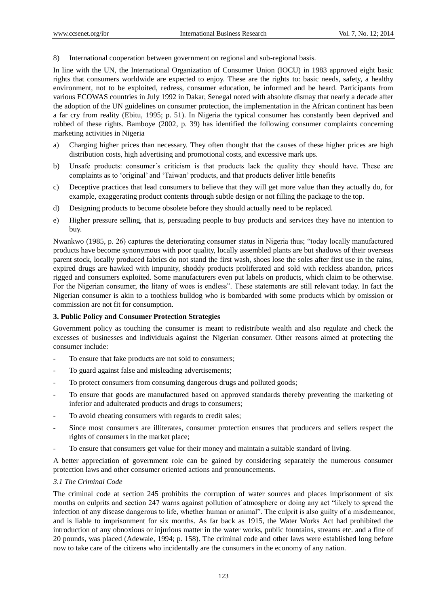8) International cooperation between government on regional and sub-regional basis.

In line with the UN, the International Organization of Consumer Union (IOCU) in 1983 approved eight basic rights that consumers worldwide are expected to enjoy. These are the rights to: basic needs, safety, a healthy environment, not to be exploited, redress, consumer education, be informed and be heard. Participants from various ECOWAS countries in July 1992 in Dakar, Senegal noted with absolute dismay that nearly a decade after the adoption of the UN guidelines on consumer protection, the implementation in the African continent has been a far cry from reality (Ebitu, 1995; p. 51). In Nigeria the typical consumer has constantly been deprived and robbed of these rights. Bamboye (2002, p. 39) has identified the following consumer complaints concerning marketing activities in Nigeria

- a) Charging higher prices than necessary. They often thought that the causes of these higher prices are high distribution costs, high advertising and promotional costs, and excessive mark ups.
- b) Unsafe products: consumer's criticism is that products lack the quality they should have. These are complaints as to "original" and "Taiwan" products, and that products deliver little benefits
- c) Deceptive practices that lead consumers to believe that they will get more value than they actually do, for example, exaggerating product contents through subtle design or not filling the package to the top.
- d) Designing products to become obsolete before they should actually need to be replaced.
- e) Higher pressure selling, that is, persuading people to buy products and services they have no intention to buy.

Nwankwo (1985, p. 26) captures the deteriorating consumer status in Nigeria thus; "today locally manufactured products have become synonymous with poor quality, locally assembled plants are but shadows of their overseas parent stock, locally produced fabrics do not stand the first wash, shoes lose the soles after first use in the rains, expired drugs are hawked with impunity, shoddy products proliferated and sold with reckless abandon, prices rigged and consumers exploited. Some manufacturers even put labels on products, which claim to be otherwise. For the Nigerian consumer, the litany of woes is endless". These statements are still relevant today. In fact the Nigerian consumer is akin to a toothless bulldog who is bombarded with some products which by omission or commission are not fit for consumption.

# **3. Public Policy and Consumer Protection Strategies**

Government policy as touching the consumer is meant to redistribute wealth and also regulate and check the excesses of businesses and individuals against the Nigerian consumer. Other reasons aimed at protecting the consumer include:

- To ensure that fake products are not sold to consumers;
- To guard against false and misleading advertisements;
- To protect consumers from consuming dangerous drugs and polluted goods;
- To ensure that goods are manufactured based on approved standards thereby preventing the marketing of inferior and adulterated products and drugs to consumers;
- To avoid cheating consumers with regards to credit sales;
- Since most consumers are illiterates, consumer protection ensures that producers and sellers respect the rights of consumers in the market place;
- To ensure that consumers get value for their money and maintain a suitable standard of living.

A better appreciation of government role can be gained by considering separately the numerous consumer protection laws and other consumer oriented actions and pronouncements.

# *3.1 The Criminal Code*

The criminal code at section 245 prohibits the corruption of water sources and places imprisonment of six months on culprits and section 247 warns against pollution of atmosphere or doing any act "likely to spread the infection of any disease dangerous to life, whether human or animal". The culprit is also guilty of a misdemeanor, and is liable to imprisonment for six months. As far back as 1915, the Water Works Act had prohibited the introduction of any obnoxious or injurious matter in the water works, public fountains, streams etc. and a fine of 20 pounds, was placed (Adewale, 1994; p. 158). The criminal code and other laws were established long before now to take care of the citizens who incidentally are the consumers in the economy of any nation.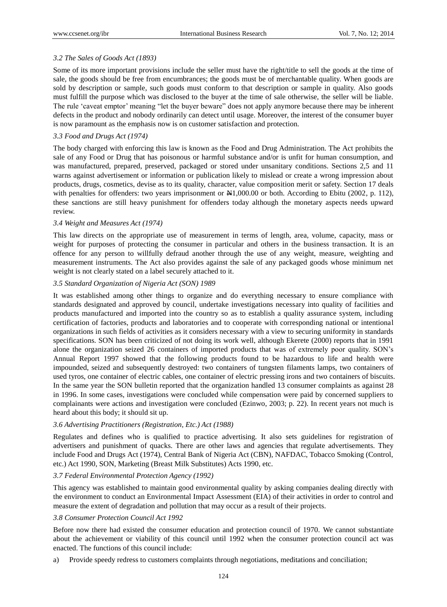## *3.2 The Sales of Goods Act (1893)*

Some of its more important provisions include the seller must have the right/title to sell the goods at the time of sale, the goods should be free from encumbrances; the goods must be of merchantable quality. When goods are sold by description or sample, such goods must conform to that description or sample in quality. Also goods must fulfill the purpose which was disclosed to the buyer at the time of sale otherwise, the seller will be liable. The rule "caveat emptor" meaning "let the buyer beware" does not apply anymore because there may be inherent defects in the product and nobody ordinarily can detect until usage. Moreover, the interest of the consumer buyer is now paramount as the emphasis now is on customer satisfaction and protection.

## *3.3 Food and Drugs Act (1974)*

The body charged with enforcing this law is known as the Food and Drug Administration. The Act prohibits the sale of any Food or Drug that has poisonous or harmful substance and/or is unfit for human consumption, and was manufactured, prepared, preserved, packaged or stored under unsanitary conditions. Sections 2,5 and 11 warns against advertisement or information or publication likely to mislead or create a wrong impression about products, drugs, cosmetics, devise as to its quality, character, value composition merit or safety. Section 17 deals with penalties for offenders: two years imprisonment or  $\mathbb{N}1,000.00$  or both. According to Ebitu (2002, p. 112), these sanctions are still heavy punishment for offenders today although the monetary aspects needs upward review.

## *3.4 Weight and Measures Act (1974)*

This law directs on the appropriate use of measurement in terms of length, area, volume, capacity, mass or weight for purposes of protecting the consumer in particular and others in the business transaction. It is an offence for any person to willfully defraud another through the use of any weight, measure, weighting and measurement instruments. The Act also provides against the sale of any packaged goods whose minimum net weight is not clearly stated on a label securely attached to it.

## *3.5 Standard Organization of Nigeria Act (SON) 1989*

It was established among other things to organize and do everything necessary to ensure compliance with standards designated and approved by council, undertake investigations necessary into quality of facilities and products manufactured and imported into the country so as to establish a quality assurance system, including certification of factories, products and laboratories and to cooperate with corresponding national or intentional organizations in such fields of activities as it considers necessary with a view to securing uniformity in standards specifications. SON has been criticized of not doing its work well, although Ekerete (2000) reports that in 1991 alone the organization seized 26 containers of imported products that was of extremely poor quality. SON"s Annual Report 1997 showed that the following products found to be hazardous to life and health were impounded, seized and subsequently destroyed: two containers of tungsten filaments lamps, two containers of used tyros, one container of electric cables, one container of electric pressing irons and two containers of biscuits. In the same year the SON bulletin reported that the organization handled 13 consumer complaints as against 28 in 1996. In some cases, investigations were concluded while compensation were paid by concerned suppliers to complainants were actions and investigation were concluded (Ezinwo, 2003; p. 22). In recent years not much is heard about this body; it should sit up.

### *3.6 Advertising Practitioners (Registration, Etc.) Act (1988)*

Regulates and defines who is qualified to practice advertising. It also sets guidelines for registration of advertisers and punishment of quacks. There are other laws and agencies that regulate advertisements. They include Food and Drugs Act (1974), Central Bank of Nigeria Act (CBN), NAFDAC, Tobacco Smoking (Control, etc.) Act 1990, SON, Marketing (Breast Milk Substitutes) Acts 1990, etc.

### *3.7 Federal Environmental Protection Agency (1992)*

This agency was established to maintain good environmental quality by asking companies dealing directly with the environment to conduct an Environmental Impact Assessment (EIA) of their activities in order to control and measure the extent of degradation and pollution that may occur as a result of their projects.

### *3.8 Consumer Protection Council Act 1992*

Before now there had existed the consumer education and protection council of 1970. We cannot substantiate about the achievement or viability of this council until 1992 when the consumer protection council act was enacted. The functions of this council include:

a) Provide speedy redress to customers complaints through negotiations, meditations and conciliation;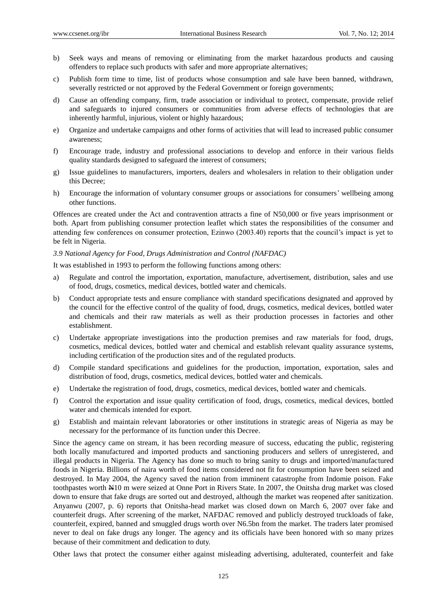- b) Seek ways and means of removing or eliminating from the market hazardous products and causing offenders to replace such products with safer and more appropriate alternatives;
- c) Publish form time to time, list of products whose consumption and sale have been banned, withdrawn, severally restricted or not approved by the Federal Government or foreign governments;
- d) Cause an offending company, firm, trade association or individual to protect, compensate, provide relief and safeguards to injured consumers or communities from adverse effects of technologies that are inherently harmful, injurious, violent or highly hazardous;
- e) Organize and undertake campaigns and other forms of activities that will lead to increased public consumer awareness;
- f) Encourage trade, industry and professional associations to develop and enforce in their various fields quality standards designed to safeguard the interest of consumers;
- g) Issue guidelines to manufacturers, importers, dealers and wholesalers in relation to their obligation under this Decree;
- h) Encourage the information of voluntary consumer groups or associations for consumers" wellbeing among other functions.

Offences are created under the Act and contravention attracts a fine of N50,000 or five years imprisonment or both. Apart from publishing consumer protection leaflet which states the responsibilities of the consumer and attending few conferences on consumer protection, Ezinwo (2003.40) reports that the council"s impact is yet to be felt in Nigeria.

#### *3.9 National Agency for Food, Drugs Administration and Control (NAFDAC)*

It was established in 1993 to perform the following functions among others:

- a) Regulate and control the importation, exportation, manufacture, advertisement, distribution, sales and use of food, drugs, cosmetics, medical devices, bottled water and chemicals.
- b) Conduct appropriate tests and ensure compliance with standard specifications designated and approved by the council for the effective control of the quality of food, drugs, cosmetics, medical devices, bottled water and chemicals and their raw materials as well as their production processes in factories and other establishment.
- c) Undertake appropriate investigations into the production premises and raw materials for food, drugs, cosmetics, medical devices, bottled water and chemical and establish relevant quality assurance systems, including certification of the production sites and of the regulated products.
- d) Compile standard specifications and guidelines for the production, importation, exportation, sales and distribution of food, drugs, cosmetics, medical devices, bottled water and chemicals.
- e) Undertake the registration of food, drugs, cosmetics, medical devices, bottled water and chemicals.
- f) Control the exportation and issue quality certification of food, drugs, cosmetics, medical devices, bottled water and chemicals intended for export.
- g) Establish and maintain relevant laboratories or other institutions in strategic areas of Nigeria as may be necessary for the performance of its function under this Decree.

Since the agency came on stream, it has been recording measure of success, educating the public, registering both locally manufactured and imported products and sanctioning producers and sellers of unregistered, and illegal products in Nigeria. The Agency has done so much to bring sanity to drugs and imported/manufactured foods in Nigeria. Billions of naira worth of food items considered not fit for consumption have been seized and destroyed. In May 2004, the Agency saved the nation from imminent catastrophe from Indomie poison. Fake toothpastes worth N10 m were seized at Onne Port in Rivers State. In 2007, the Onitsha drug market was closed down to ensure that fake drugs are sorted out and destroyed, although the market was reopened after sanitization. Anyanwu (2007, p. 6) reports that Onitsha-head market was closed down on March 6, 2007 over fake and counterfeit drugs. After screening of the market, NAFDAC removed and publicly destroyed truckloads of fake, counterfeit, expired, banned and smuggled drugs worth over N6.5bn from the market. The traders later promised never to deal on fake drugs any longer. The agency and its officials have been honored with so many prizes because of their commitment and dedication to duty.

Other laws that protect the consumer either against misleading advertising, adulterated, counterfeit and fake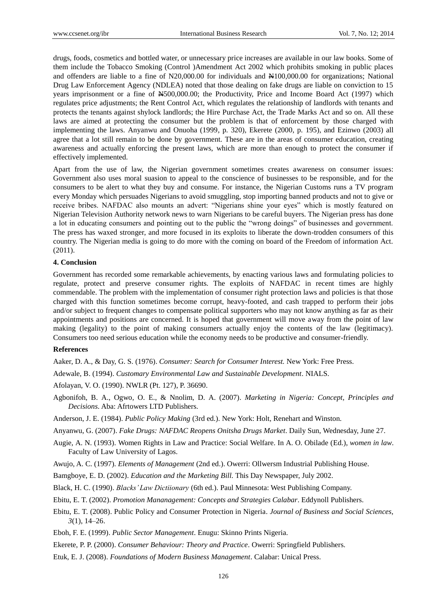drugs, foods, cosmetics and bottled water, or unnecessary price increases are available in our law books. Some of them include the Tobacco Smoking (Control )Amendment Act 2002 which prohibits smoking in public places and offenders are liable to a fine of N20,000.00 for individuals and  $\text{H}100,000.00$  for organizations; National Drug Law Enforcement Agency (NDLEA) noted that those dealing on fake drugs are liable on conviction to 15 years imprisonment or a fine of  $\text{\#}500,000.00$ ; the Productivity, Price and Income Board Act (1997) which regulates price adjustments; the Rent Control Act, which regulates the relationship of landlords with tenants and protects the tenants against shylock landlords; the Hire Purchase Act, the Trade Marks Act and so on. All these laws are aimed at protecting the consumer but the problem is that of enforcement by those charged with implementing the laws. Anyanwu and Onuoha (1999, p. 320), Ekerete (2000, p. 195), and Ezinwo (2003) all agree that a lot still remain to be done by government. These are in the areas of consumer education, creating awareness and actually enforcing the present laws, which are more than enough to protect the consumer if effectively implemented.

Apart from the use of law, the Nigerian government sometimes creates awareness on consumer issues: Government also uses moral suasion to appeal to the conscience of businesses to be responsible, and for the consumers to be alert to what they buy and consume. For instance, the Nigerian Customs runs a TV program every Monday which persuades Nigerians to avoid smuggling, stop importing banned products and not to give or receive bribes. NAFDAC also mounts an advert: "Nigerians shine your eyes" which is mostly featured on Nigerian Television Authority network news to warn Nigerians to be careful buyers. The Nigerian press has done a lot in educating consumers and pointing out to the public the "wrong doings" of businesses and government. The press has waxed stronger, and more focused in its exploits to liberate the down-trodden consumers of this country. The Nigerian media is going to do more with the coming on board of the Freedom of information Act. (2011).

### **4. Conclusion**

Government has recorded some remarkable achievements, by enacting various laws and formulating policies to regulate, protect and preserve consumer rights. The exploits of NAFDAC in recent times are highly commendable. The problem with the implementation of consumer right protection laws and policies is that those charged with this function sometimes become corrupt, heavy-footed, and cash trapped to perform their jobs and/or subject to frequent changes to compensate political supporters who may not know anything as far as their appointments and positions are concerned. It is hoped that government will move away from the point of law making (legality) to the point of making consumers actually enjoy the contents of the law (legitimacy). Consumers too need serious education while the economy needs to be productive and consumer-friendly.

#### **References**

Aaker, D. A., & Day, G. S. (1976). *Consumer: Search for Consumer Interest.* New York: Free Press.

Adewale, B. (1994). *Customary Environmental Law and Sustainable Development*. NIALS.

Afolayan, V. O. (1990). NWLR (Pt. 127), P. 36690.

- Agbonifoh, B. A., Ogwo, O. E., & Nnolim, D. A. (2007). *Marketing in Nigeria: Concept, Principles and Decisions*. Aba: Afrtowers LTD Publishers.
- Anderson, J. E. (1984). *Public Policy Making* (3rd ed.). New York: Holt, Renehart and Winston.
- Anyanwu, G. (2007). *Fake Drugs: NAFDAC Reopens Onitsha Drugs Market*. Daily Sun, Wednesday, June 27.
- Augie, A. N. (1993). Women Rights in Law and Practice: Social Welfare. In A. O. Obilade (Ed.), *women in law*. Faculty of Law University of Lagos.
- Awujo, A. C. (1997). *Elements of Management* (2nd ed.). Owerri: Ollwersm Industrial Publishing House.
- Bamgboye, E. D. (2002). *Education and the Marketing Bill.* This Day Newspaper, July 2002.
- Black, H. C. (1990). *Blacks' Law Dictiionary* (6th ed.). Paul Minnesota: West Publishing Company.
- Ebitu, E. T. (2002). *Promotion Mananagement: Concepts and Strategies Calabar*. Eddynoll Publishers.
- Ebitu, E. T. (2008). Public Policy and Consumer Protection in Nigeria. *Journal of Business and Social Sciences, 3*(1), 14–26.
- Eboh, F. E. (1999). *Public Sector Management*. Enugu: Skinno Prints Nigeria.
- Ekerete, P. P. (2000). *Consumer Behaviour: Theory and Practice*. Owerri: Springfield Publishers.
- Etuk, E. J. (2008). *Foundations of Modern Business Management*. Calabar: Unical Press.